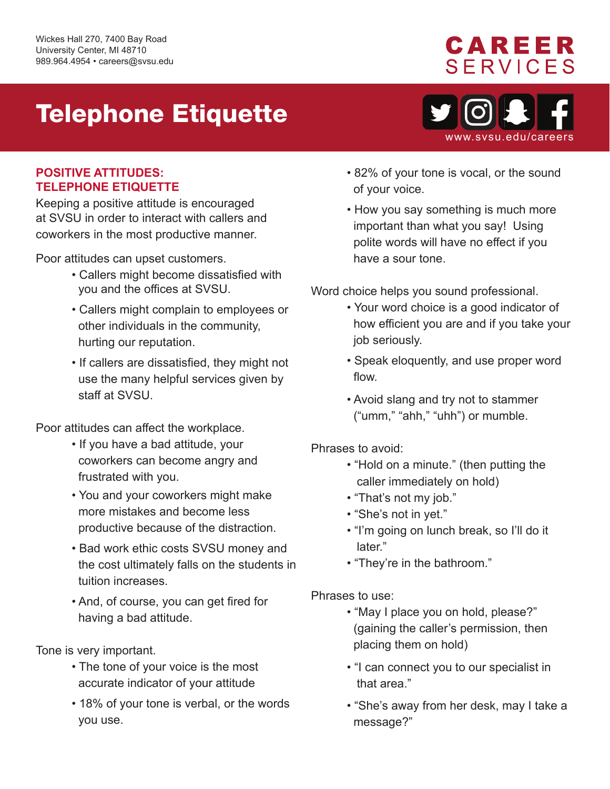## Telephone Etiquette

#### **POSITIVE ATTITUDES: TELEPHONE ETIQUETTE**

Keeping a positive attitude is encouraged at SVSU in order to interact with callers and coworkers in the most productive manner.

Poor attitudes can upset customers.

- • Callers might become dissatisfied with you and the offices at SVSU.
- Callers might complain to employees or other individuals in the community, hurting our reputation.
- If callers are dissatisfied, they might not use the many helpful services given by staff at SVSU.

Poor attitudes can affect the workplace.

- If you have a bad attitude, your coworkers can become angry and frustrated with you.
- You and your coworkers might make more mistakes and become less productive because of the distraction.
- Bad work ethic costs SVSU money and the cost ultimately falls on the students in tuition increases.
- And, of course, you can get fired for having a bad attitude.

Tone is very important.

- The tone of your voice is the most accurate indicator of your attitude
- 18% of your tone is verbal, or the words you use.
- 82% of your tone is vocal, or the sound of your voice.
- How you say something is much more important than what you say! Using polite words will have no effect if you have a sour tone.

Word choice helps you sound professional.

- how efficient you are and if you take your • Your word choice is a good indicator of job seriously.
- Speak eloquently, and use proper word flow.
- Avoid slang and try not to stammer ("umm," "ahh," "uhh") or mumble.

Phrases to avoid:

- "Hold on a minute." (then putting the caller immediately on hold)
- "That's not my job."
- "She's not in yet."
- "I'm going on lunch break, so I'll do it later"
- "They're in the bathroom."

Phrases to use:

- "May I place you on hold, please?" (gaining the caller's permission, then placing them on hold)
- "I can connect you to our specialist in that area."
- "She's away from her desk, may I take a message?"



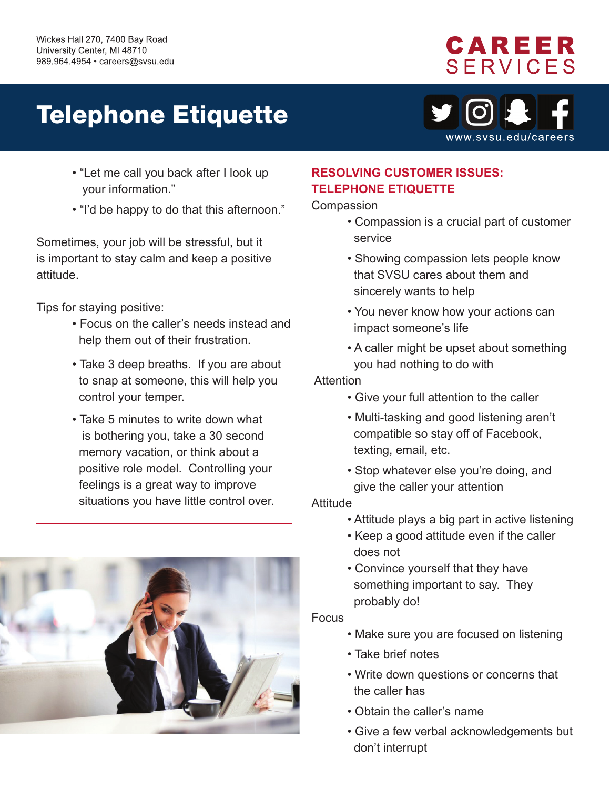### CAREER **SERVICES**

# Telephone Etiquette



- "Let me call you back after I look up your information."
- "I'd be happy to do that this afternoon."

Sometimes, your job will be stressful, but it is important to stay calm and keep a positive attitude.

Tips for staying positive:

- Focus on the caller's needs instead and help them out of their frustration.
- Take 3 deep breaths. If you are about to snap at someone, this will help you control your temper.
- Take 5 minutes to write down what is bothering you, take a 30 second memory vacation, or think about a positive role model. Controlling your feelings is a great way to improve situations you have little control over.



### **RESOLVING CUSTOMER ISSUES: TELEPHONE ETIQUETTE**

**Compassion** 

- Compassion is a crucial part of customer service
- Showing compassion lets people know that SVSU cares about them and sincerely wants to help
- You never know how your actions can impact someone's life
- A caller might be upset about something you had nothing to do with

Attention

- Give your full attention to the caller
- Multi-tasking and good listening aren't compatible so stay off of Facebook, texting, email, etc.
- Stop whatever else you're doing, and give the caller your attention

Attitude

- Attitude plays a big part in active listening
- Keep a good attitude even if the caller does not
- Convince yourself that they have something important to say. They probably do!

Focus

- Make sure you are focused on listening
- Take brief notes
- Write down questions or concerns that the caller has
- Obtain the caller's name
- Give a few verbal acknowledgements but don't interrupt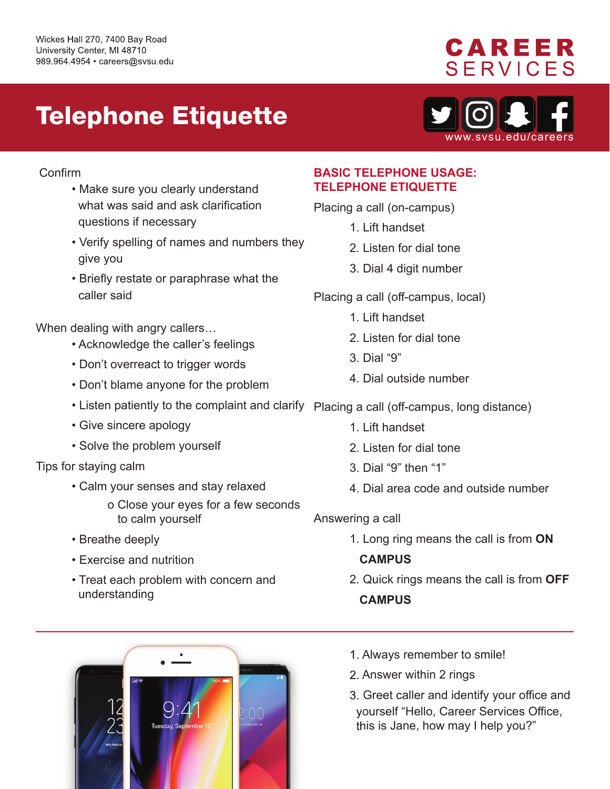### **CAREER SERVICES**

## Telephone Etiquette



#### Confirm

- Make sure you clearly understand what was said and ask clarification questions if necessary
- Verify spelling of names and numbers they give you
- Briefly restate or paraphrase what the caller said

When dealing with angry callers…

- Acknowledge the caller's feelings
- Don't overreact to trigger words
- Don't blame anyone for the problem
- 
- Give sincere apology
- Solve the problem yourself
- Tips for staying calm
	- Calm your senses and stay relaxed
		- o Close your eyes for a few seconds to calm yourself
	- Breathe deeply
	- Exercise and nutrition
	- Treat each problem with concern and understanding

#### **BASIC TELEPHONE USAGE: TELEPHONE ETIQUETTE**

- Placing a call (on-campus)
	- 1. Lift handset
	- 2. Listen for dial tone
	- 3. Dial 4 digit number
- Placing a call (off-campus, local)
	- 1. Lift handset
	- 2. Listen for dial tone
	- 3. Dial "9"
	- 4. Dial outside number
- Listen patiently to the complaint and clarify Placing a call (off-campus, long distance)
	- 1. Lift handset
	- 2. Listen for dial tone
	- 3. Dial "9" then "1"
	- 4. Dial area code and outside number
	- Answering a call
		- 1. Long ring means the call is from **ON**

#### **CAMPUS**

2. Quick rings means the call is from **OFF CAMPUS** 



- 1. Always remember to smile!
- 2. Answer within 2 rings
- 3. Greet caller and identify your office and 3. Greet caller and identify your office an<br>yourself "Hello, Career Services Office, this is Jane, how may I help you?"